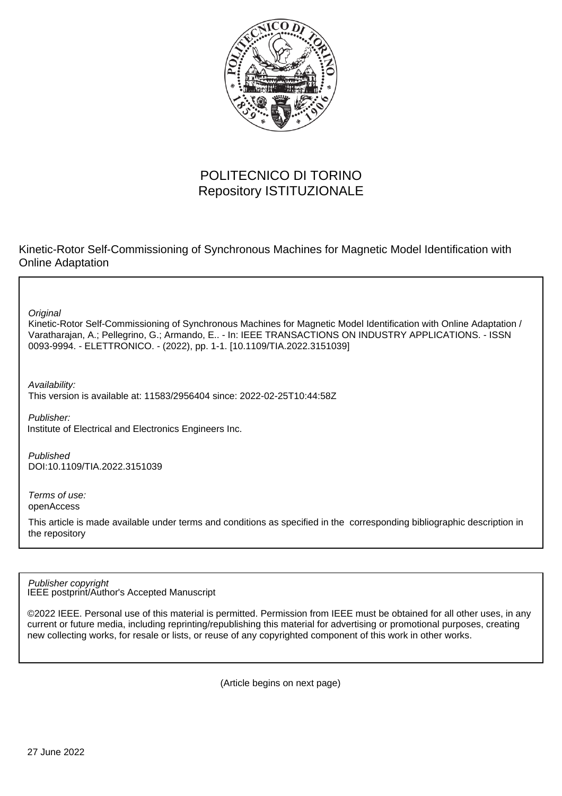

# POLITECNICO DI TORINO Repository ISTITUZIONALE

Kinetic-Rotor Self-Commissioning of Synchronous Machines for Magnetic Model Identification with Online Adaptation

**Original** 

Kinetic-Rotor Self-Commissioning of Synchronous Machines for Magnetic Model Identification with Online Adaptation / Varatharajan, A.; Pellegrino, G.; Armando, E.. - In: IEEE TRANSACTIONS ON INDUSTRY APPLICATIONS. - ISSN 0093-9994. - ELETTRONICO. - (2022), pp. 1-1. [10.1109/TIA.2022.3151039]

Availability: This version is available at: 11583/2956404 since: 2022-02-25T10:44:58Z

Publisher: Institute of Electrical and Electronics Engineers Inc.

Published DOI:10.1109/TIA.2022.3151039

Terms of use: openAccess

This article is made available under terms and conditions as specified in the corresponding bibliographic description in the repository

IEEE postprint/Author's Accepted Manuscript Publisher copyright

©2022 IEEE. Personal use of this material is permitted. Permission from IEEE must be obtained for all other uses, in any current or future media, including reprinting/republishing this material for advertising or promotional purposes, creating new collecting works, for resale or lists, or reuse of any copyrighted component of this work in other works.

(Article begins on next page)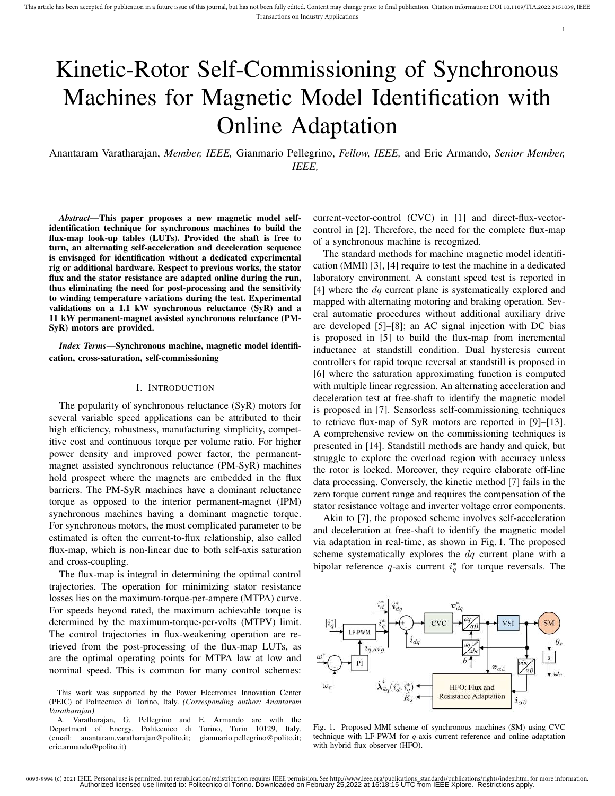1

# Kinetic-Rotor Self-Commissioning of Synchronous Machines for Magnetic Model Identification with Online Adaptation

Anantaram Varatharajan, *Member, IEEE,* Gianmario Pellegrino, *Fellow, IEEE,* and Eric Armando, *Senior Member, IEEE,*

*Abstract*—This paper proposes a new magnetic model selfidentification technique for synchronous machines to build the flux-map look-up tables (LUTs). Provided the shaft is free to turn, an alternating self-acceleration and deceleration sequence is envisaged for identification without a dedicated experimental rig or additional hardware. Respect to previous works, the stator flux and the stator resistance are adapted online during the run, thus eliminating the need for post-processing and the sensitivity to winding temperature variations during the test. Experimental validations on a 1.1 kW synchronous reluctance (SyR) and a 11 kW permanent-magnet assisted synchronous reluctance (PM-SyR) motors are provided.

*Index Terms*—Synchronous machine, magnetic model identification, cross-saturation, self-commissioning

# I. INTRODUCTION

The popularity of synchronous reluctance (SyR) motors for several variable speed applications can be attributed to their high efficiency, robustness, manufacturing simplicity, competitive cost and continuous torque per volume ratio. For higher power density and improved power factor, the permanentmagnet assisted synchronous reluctance (PM-SyR) machines hold prospect where the magnets are embedded in the flux barriers. The PM-SyR machines have a dominant reluctance torque as opposed to the interior permanent-magnet (IPM) synchronous machines having a dominant magnetic torque. For synchronous motors, the most complicated parameter to be estimated is often the current-to-flux relationship, also called flux-map, which is non-linear due to both self-axis saturation and cross-coupling.

The flux-map is integral in determining the optimal control trajectories. The operation for minimizing stator resistance losses lies on the maximum-torque-per-ampere (MTPA) curve. For speeds beyond rated, the maximum achievable torque is determined by the maximum-torque-per-volts (MTPV) limit. The control trajectories in flux-weakening operation are retrieved from the post-processing of the flux-map LUTs, as are the optimal operating points for MTPA law at low and nominal speed. This is common for many control schemes: current-vector-control (CVC) in [1] and direct-flux-vectorcontrol in [2]. Therefore, the need for the complete flux-map of a synchronous machine is recognized.

The standard methods for machine magnetic model identification (MMI) [3], [4] require to test the machine in a dedicated laboratory environment. A constant speed test is reported in [4] where the *dq* current plane is systematically explored and mapped with alternating motoring and braking operation. Several automatic procedures without additional auxiliary drive are developed [5]–[8]; an AC signal injection with DC bias is proposed in [5] to build the flux-map from incremental inductance at standstill condition. Dual hysteresis current controllers for rapid torque reversal at standstill is proposed in [6] where the saturation approximating function is computed with multiple linear regression. An alternating acceleration and deceleration test at free-shaft to identify the magnetic model is proposed in [7]. Sensorless self-commissioning techniques to retrieve flux-map of SyR motors are reported in [9]–[13]. A comprehensive review on the commissioning techniques is presented in [14]. Standstill methods are handy and quick, but struggle to explore the overload region with accuracy unless the rotor is locked. Moreover, they require elaborate off-line data processing. Conversely, the kinetic method [7] fails in the zero torque current range and requires the compensation of the stator resistance voltage and inverter voltage error components.

Akin to [7], the proposed scheme involves self-acceleration and deceleration at free-shaft to identify the magnetic model via adaptation in real-time, as shown in Fig. 1. The proposed scheme systematically explores the  $dq$  current plane with a bipolar reference q-axis current  $i_q^*$  for torque reversals. The



Fig. 1. Proposed MMI scheme of synchronous machines (SM) using CVC technique with LF-PWM for q-axis current reference and online adaptation with hybrid flux observer (HFO).

This work was supported by the Power Electronics Innovation Center (PEIC) of Politecnico di Torino, Italy. *(Corresponding author: Anantaram Varatharajan)*

A. Varatharajan, G. Pellegrino and E. Armando are with the Department of Energy, Politecnico di Torino, Turin 10129, Italy. (email: anantaram.varatharajan@polito.it; gianmario.pellegrino@polito.it; eric.armando@polito.it)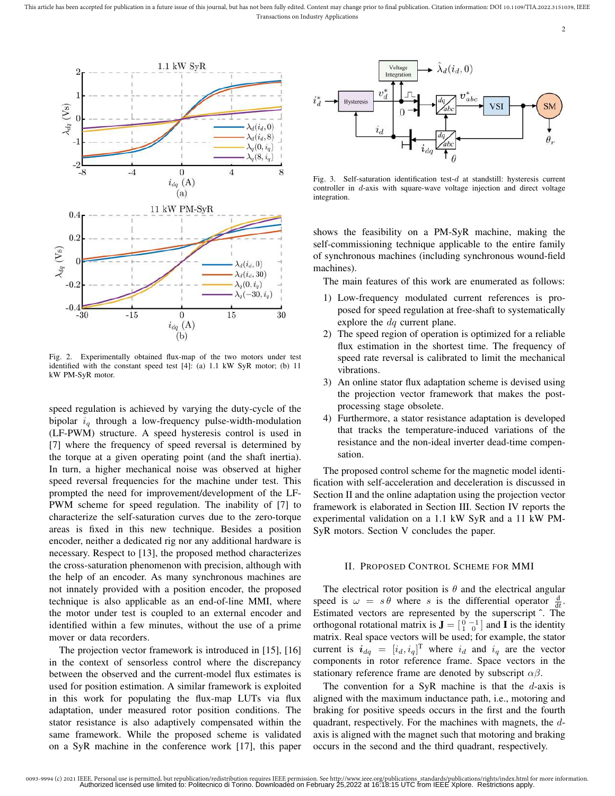This article has been accepted for publication in a future issue of this journal, but has not been fully edited. Content may change prior to final publication. Citation information: DOI 10.1109/TIA.2022.3151039, IEEE Transactions on Industry Applications



Fig. 2. Experimentally obtained flux-map of the two motors under test identified with the constant speed test [4]: (a) 1.1 kW SyR motor; (b) 11 kW PM-SyR motor.

speed regulation is achieved by varying the duty-cycle of the bipolar  $i_q$  through a low-frequency pulse-width-modulation (LF-PWM) structure. A speed hysteresis control is used in [7] where the frequency of speed reversal is determined by the torque at a given operating point (and the shaft inertia). In turn, a higher mechanical noise was observed at higher speed reversal frequencies for the machine under test. This prompted the need for improvement/development of the LF-PWM scheme for speed regulation. The inability of [7] to characterize the self-saturation curves due to the zero-torque areas is fixed in this new technique. Besides a position encoder, neither a dedicated rig nor any additional hardware is necessary. Respect to [13], the proposed method characterizes the cross-saturation phenomenon with precision, although with the help of an encoder. As many synchronous machines are not innately provided with a position encoder, the proposed technique is also applicable as an end-of-line MMI, where the motor under test is coupled to an external encoder and identified within a few minutes, without the use of a prime mover or data recorders.

The projection vector framework is introduced in [15], [16] in the context of sensorless control where the discrepancy between the observed and the current-model flux estimates is used for position estimation. A similar framework is exploited in this work for populating the flux-map LUTs via flux adaptation, under measured rotor position conditions. The stator resistance is also adaptively compensated within the same framework. While the proposed scheme is validated on a SyR machine in the conference work [17], this paper



Fig. 3. Self-saturation identification test-d at standstill: hysteresis current controller in d-axis with square-wave voltage injection and direct voltage integration.

shows the feasibility on a PM-SyR machine, making the self-commissioning technique applicable to the entire family of synchronous machines (including synchronous wound-field machines).

The main features of this work are enumerated as follows:

- 1) Low-frequency modulated current references is proposed for speed regulation at free-shaft to systematically explore the  $dq$  current plane.
- 2) The speed region of operation is optimized for a reliable flux estimation in the shortest time. The frequency of speed rate reversal is calibrated to limit the mechanical vibrations.
- 3) An online stator flux adaptation scheme is devised using the projection vector framework that makes the postprocessing stage obsolete.
- 4) Furthermore, a stator resistance adaptation is developed that tracks the temperature-induced variations of the resistance and the non-ideal inverter dead-time compensation.

The proposed control scheme for the magnetic model identification with self-acceleration and deceleration is discussed in Section II and the online adaptation using the projection vector framework is elaborated in Section III. Section IV reports the experimental validation on a 1.1 kW SyR and a 11 kW PM-SyR motors. Section V concludes the paper.

# II. PROPOSED CONTROL SCHEME FOR MMI

The electrical rotor position is  $\theta$  and the electrical angular speed is  $\omega = s \theta$  where s is the differential operator  $\frac{d}{dt}$ . Estimated vectors are represented by the superscript ˆ. The orthogonal rotational matrix is  $\mathbf{J} = \begin{bmatrix} 0 & -1 \\ 1 & 0 \end{bmatrix}$  and **I** is the identity matrix. Real space vectors will be used; for example, the stator current is  $i_{dq} = [i_d, i_q]^T$  where  $i_d$  and  $i_q$  are the vector components in rotor reference frame. Space vectors in the stationary reference frame are denoted by subscript  $\alpha\beta$ .

The convention for a SyR machine is that the  $d$ -axis is aligned with the maximum inductance path, i.e., motoring and braking for positive speeds occurs in the first and the fourth quadrant, respectively. For the machines with magnets, the daxis is aligned with the magnet such that motoring and braking occurs in the second and the third quadrant, respectively.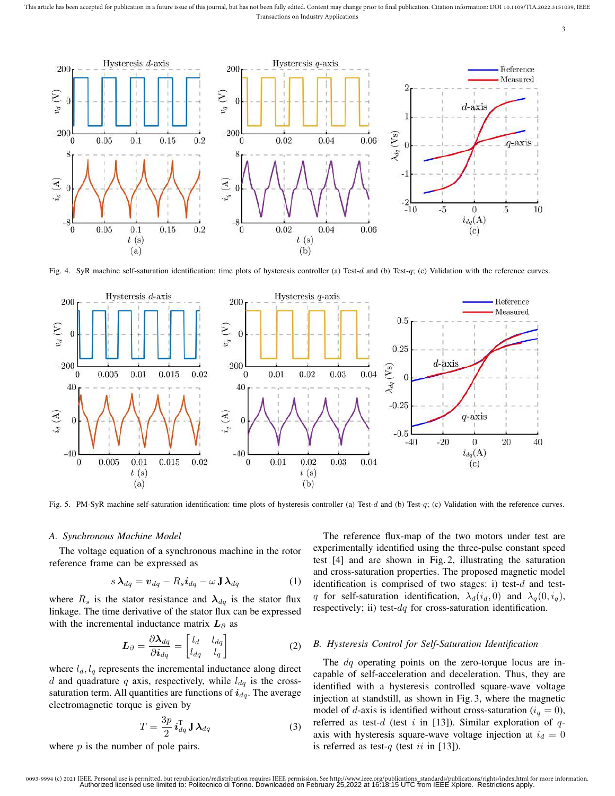This article has been accepted for publication in a future issue of this journal, but has not been fully edited. Content may change prior to final publication. Citation information: DOI 10.1109/TIA.2022.3151039, IEEE Transactions on Industry Applications



Fig. 4. SyR machine self-saturation identification: time plots of hysteresis controller (a) Test-d and (b) Test-q; (c) Validation with the reference curves.



Fig. 5. PM-SyR machine self-saturation identification: time plots of hysteresis controller (a) Test-d and (b) Test-q; (c) Validation with the reference curves.

# *A. Synchronous Machine Model*

The voltage equation of a synchronous machine in the rotor reference frame can be expressed as

$$
s\,\boldsymbol{\lambda}_{dq} = \boldsymbol{v}_{dq} - R_s \boldsymbol{i}_{dq} - \omega \,\mathbf{J} \,\boldsymbol{\lambda}_{dq} \tag{1}
$$

where  $R_s$  is the stator resistance and  $\lambda_{dq}$  is the stator flux linkage. The time derivative of the stator flux can be expressed with the incremental inductance matrix  $L_{\partial}$  as

$$
\boldsymbol{L}_{\partial} = \frac{\partial \boldsymbol{\lambda}_{dq}}{\partial \boldsymbol{i}_{dq}} = \begin{bmatrix} l_d & l_{dq} \\ l_{dq} & l_q \end{bmatrix}
$$
 (2)

where  $l_d$ ,  $l_q$  represents the incremental inductance along direct d and quadrature q axis, respectively, while  $l_{dq}$  is the crosssaturation term. All quantities are functions of  $i_{dq}$ . The average electromagnetic torque is given by

$$
T = \frac{3p}{2} \, \mathbf{i}_{dq}^{\mathrm{T}} \, \mathbf{J} \, \boldsymbol{\lambda}_{dq} \tag{3}
$$

where  $p$  is the number of pole pairs.

The reference flux-map of the two motors under test are experimentally identified using the three-pulse constant speed test [4] and are shown in Fig. 2, illustrating the saturation and cross-saturation properties. The proposed magnetic model identification is comprised of two stages: i) test- $d$  and testq for self-saturation identification,  $\lambda_d(i_d, 0)$  and  $\lambda_q(0, i_q)$ , respectively; ii) test- $dq$  for cross-saturation identification.

# *B. Hysteresis Control for Self-Saturation Identification*

The *dq* operating points on the zero-torque locus are incapable of self-acceleration and deceleration. Thus, they are identified with a hysteresis controlled square-wave voltage injection at standstill, as shown in Fig. 3, where the magnetic model of d-axis is identified without cross-saturation ( $i_q = 0$ ), referred as test-d (test i in [13]). Similar exploration of  $q$ axis with hysteresis square-wave voltage injection at  $i_d = 0$ is referred as test-q (test ii in [13]).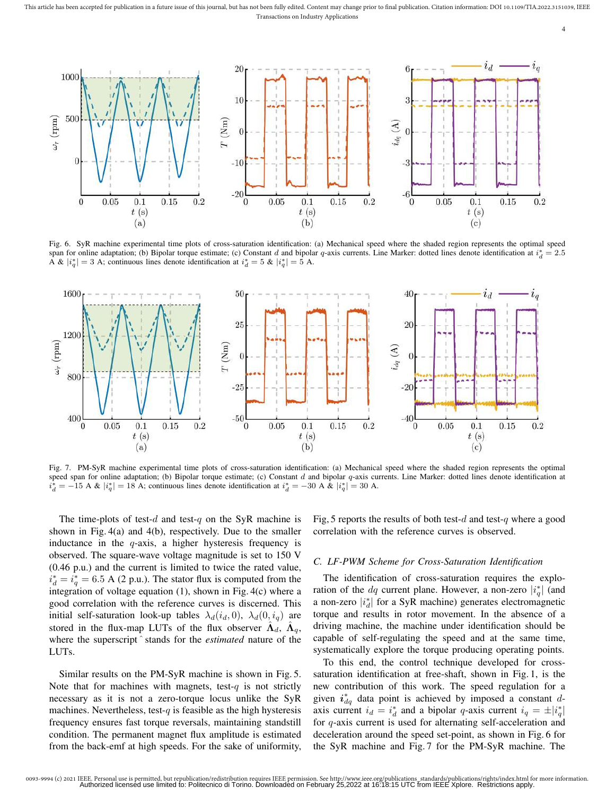This article has been accepted for publication in a future issue of this journal, but has not been fully edited. Content may change prior to final publication. Citation information: DOI 10.1109/TIA.2022.3151039, IEEE Transactions on Industry Applications



Fig. 6. SyR machine experimental time plots of cross-saturation identification: (a) Mechanical speed where the shaded region represents the optimal speed span for online adaptation; (b) Bipolar torque estimate; (c) Constant d and bipolar q-axis currents. Line Marker: dotted lines denote identification at  $i_d^* = 2.5$ A &  $|i_q^*|=3$  A; continuous lines denote identification at  $i_d^*=5$  &  $|i_q^*|=5$  A.



Fig. 7. PM-SyR machine experimental time plots of cross-saturation identification: (a) Mechanical speed where the shaded region represents the optimal speed span for online adaptation; (b) Bipolar torque estimate; (c) Constant  $d$  and bipolar  $q$ -axis currents. Line Marker: dotted lines denote identification at  $i_d^* = -15$  A &  $|i_q^*| = 18$  A; continuous lines denote identification at  $i_d^* = -30$  A &  $|i_q^*| = 30$  A.

The time-plots of test-d and test-q on the SyR machine is shown in Fig. 4(a) and 4(b), respectively. Due to the smaller inductance in the  $q$ -axis, a higher hysteresis frequency is observed. The square-wave voltage magnitude is set to 150 V (0.46 p.u.) and the current is limited to twice the rated value,  $i_d^* = i_q^* = 6.5$  A (2 p.u.). The stator flux is computed from the integration of voltage equation (1), shown in Fig. 4(c) where a good correlation with the reference curves is discerned. This initial self-saturation look-up tables  $\lambda_d(i_d, 0)$ ,  $\lambda_d(0, i_q)$  are stored in the flux-map LUTs of the flux observer  $\hat{\Lambda}_d$ ,  $\hat{\Lambda}_q$ , where the superscript ˆ stands for the *estimated* nature of the LUTs.

Similar results on the PM-SyR machine is shown in Fig. 5. Note that for machines with magnets, test-q is not strictly necessary as it is not a zero-torque locus unlike the SyR machines. Nevertheless, test-q is feasible as the high hysteresis frequency ensures fast torque reversals, maintaining standstill condition. The permanent magnet flux amplitude is estimated from the back-emf at high speeds. For the sake of uniformity, Fig, 5 reports the results of both test-d and test-q where a good correlation with the reference curves is observed.

4

#### *C. LF-PWM Scheme for Cross-Saturation Identification*

The identification of cross-saturation requires the exploration of the  $dq$  current plane. However, a non-zero  $|i_q^*|$  (and a non-zero  $|i_d^*|$  for a SyR machine) generates electromagnetic torque and results in rotor movement. In the absence of a driving machine, the machine under identification should be capable of self-regulating the speed and at the same time, systematically explore the torque producing operating points.

To this end, the control technique developed for crosssaturation identification at free-shaft, shown in Fig. 1, is the new contribution of this work. The speed regulation for a given  $i_{dq}^*$  data point is achieved by imposed a constant daxis current  $i_d = i_d^*$  and a bipolar q-axis current  $i_q = \pm |i_q^*|$ for q-axis current is used for alternating self-acceleration and deceleration around the speed set-point, as shown in Fig. 6 for the SyR machine and Fig. 7 for the PM-SyR machine. The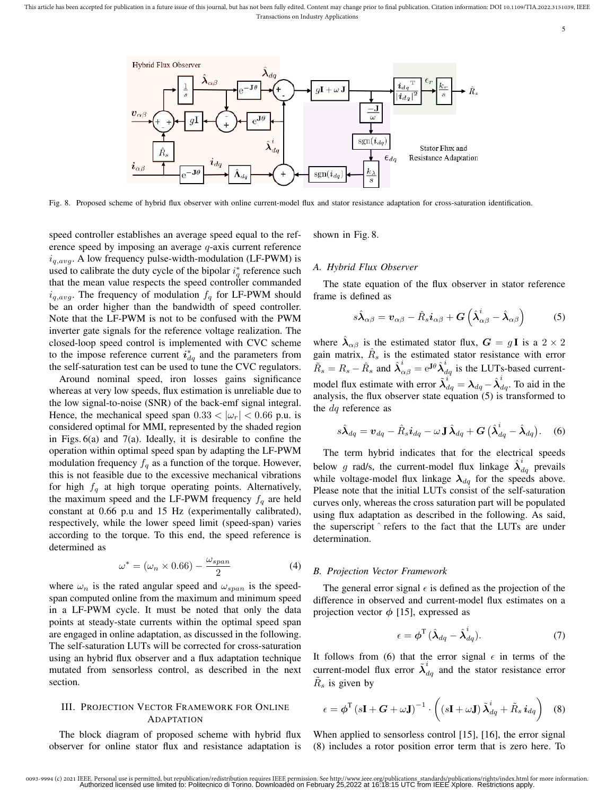

Fig. 8. Proposed scheme of hybrid flux observer with online current-model flux and stator resistance adaptation for cross-saturation identification.

speed controller establishes an average speed equal to the reference speed by imposing an average q-axis current reference  $i_{q,avg}$ . A low frequency pulse-width-modulation (LF-PWM) is used to calibrate the duty cycle of the bipolar  $i_q^*$  reference such that the mean value respects the speed controller commanded  $i_{q,avg}$ . The frequency of modulation  $f_q$  for LF-PWM should be an order higher than the bandwidth of speed controller. Note that the LF-PWM is not to be confused with the PWM inverter gate signals for the reference voltage realization. The closed-loop speed control is implemented with CVC scheme to the impose reference current  $i_{dq}^*$  and the parameters from the self-saturation test can be used to tune the CVC regulators.

Around nominal speed, iron losses gains significance whereas at very low speeds, flux estimation is unreliable due to the low signal-to-noise (SNR) of the back-emf signal integral. Hence, the mechanical speed span  $0.33 < |\omega_r| < 0.66$  p.u. is considered optimal for MMI, represented by the shaded region in Figs. 6(a) and 7(a). Ideally, it is desirable to confine the operation within optimal speed span by adapting the LF-PWM modulation frequency  $f_q$  as a function of the torque. However, this is not feasible due to the excessive mechanical vibrations for high  $f_q$  at high torque operating points. Alternatively, the maximum speed and the LF-PWM frequency  $f_q$  are held constant at 0.66 p.u and 15 Hz (experimentally calibrated), respectively, while the lower speed limit (speed-span) varies according to the torque. To this end, the speed reference is determined as

$$
\omega^* = (\omega_n \times 0.66) - \frac{\omega_{span}}{2} \tag{4}
$$

where  $\omega_n$  is the rated angular speed and  $\omega_{span}$  is the speedspan computed online from the maximum and minimum speed in a LF-PWM cycle. It must be noted that only the data points at steady-state currents within the optimal speed span are engaged in online adaptation, as discussed in the following. The self-saturation LUTs will be corrected for cross-saturation using an hybrid flux observer and a flux adaptation technique mutated from sensorless control, as described in the next section.

# III. PROJECTION VECTOR FRAMEWORK FOR ONLINE **ADAPTATION**

The block diagram of proposed scheme with hybrid flux observer for online stator flux and resistance adaptation is shown in Fig. 8.

#### *A. Hybrid Flux Observer*

The state equation of the flux observer in stator reference frame is defined as

$$
s\hat{\lambda}_{\alpha\beta} = \boldsymbol{v}_{\alpha\beta} - \hat{R}_s \boldsymbol{i}_{\alpha\beta} + \boldsymbol{G} \left( \hat{\lambda}_{\alpha\beta}^i - \hat{\lambda}_{\alpha\beta} \right) \tag{5}
$$

where  $\hat{\lambda}_{\alpha\beta}$  is the estimated stator flux,  $G = gI$  is a  $2 \times 2$ gain matrix,  $\hat{R}_s$  is the estimated stator resistance with error  $\widetilde{R}_s = R_s - \hat{R}_s$  and  $\hat{\lambda}_{\alpha\beta}^i = e^{j\theta} \hat{\lambda}_{dq}^i$  is the LUTs-based currentmodel flux estimate with error  $\tilde{\lambda}_{dq}^{i} = \lambda_{dq} - \hat{\lambda}_{dq}^{i}$ . To aid in the analysis, the flux observer state equation (5) is transformed to the dq reference as

$$
s\hat{\lambda}_{dq} = \boldsymbol{v}_{dq} - \hat{R}_s \boldsymbol{i}_{dq} - \omega \mathbf{J} \hat{\lambda}_{dq} + \boldsymbol{G} \left( \hat{\lambda}_{dq}^i - \hat{\lambda}_{dq} \right). \quad (6)
$$

The term hybrid indicates that for the electrical speeds below g rad/s, the current-model flux linkage  $\hat{\lambda}_{dq}^{i}$  prevails while voltage-model flux linkage  $\lambda_{dq}$  for the speeds above. Please note that the initial LUTs consist of the self-saturation curves only, whereas the cross saturation part will be populated using flux adaptation as described in the following. As said, the superscript ˆ refers to the fact that the LUTs are under determination.

#### *B. Projection Vector Framework*

The general error signal  $\epsilon$  is defined as the projection of the difference in observed and current-model flux estimates on a projection vector  $\phi$  [15], expressed as

$$
\epsilon = \phi^{\mathrm{T}} \, (\hat{\lambda}_{dq} - \hat{\lambda}_{dq}^{i}). \tag{7}
$$

It follows from (6) that the error signal  $\epsilon$  in terms of the current-model flux error  $\tilde{\lambda}_{dq}^{i}$  and the stator resistance error  $\tilde{R}_s$  is given by

$$
\epsilon = \boldsymbol{\phi}^{\mathrm{T}} \left( s\mathbf{I} + \boldsymbol{G} + \omega \mathbf{J} \right)^{-1} \cdot \left( \left( s\mathbf{I} + \omega \mathbf{J} \right) \tilde{\boldsymbol{\lambda}}_{dq}^{i} + \tilde{R}_{s} \, \boldsymbol{i}_{dq} \right) \tag{8}
$$

When applied to sensorless control [15], [16], the error signal (8) includes a rotor position error term that is zero here. To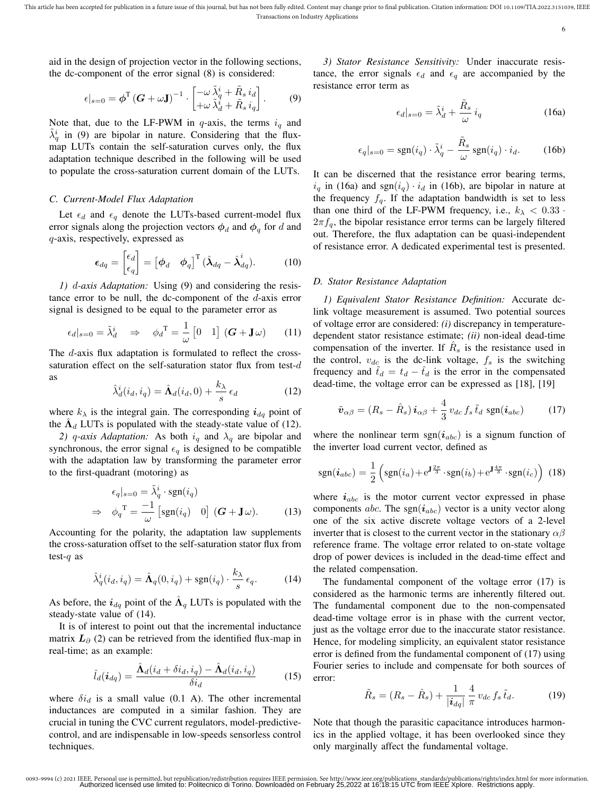6

aid in the design of projection vector in the following sections, the dc-component of the error signal (8) is considered:

$$
\epsilon|_{s=0} = \boldsymbol{\phi}^{\mathrm{T}} \left(\boldsymbol{G} + \omega \mathbf{J}\right)^{-1} \cdot \begin{bmatrix} -\omega \tilde{\lambda}_{q}^{i} + \tilde{R}_{s} \, i_{d} \\ +\omega \tilde{\lambda}_{d}^{i} + \tilde{R}_{s} \, i_{q} \end{bmatrix} . \tag{9}
$$

Note that, due to the LF-PWM in q-axis, the terms  $i_q$  and  $\tilde{\lambda}_q^i$  in (9) are bipolar in nature. Considering that the fluxmap LUTs contain the self-saturation curves only, the flux adaptation technique described in the following will be used to populate the cross-saturation current domain of the LUTs.

# *C. Current-Model Flux Adaptation*

Let  $\epsilon_d$  and  $\epsilon_q$  denote the LUTs-based current-model flux error signals along the projection vectors  $\phi_d$  and  $\phi_q$  for d and q-axis, respectively, expressed as

$$
\epsilon_{dq} = \begin{bmatrix} \epsilon_d \\ \epsilon_q \end{bmatrix} = \begin{bmatrix} \phi_d & \phi_q \end{bmatrix}^\mathrm{T} (\hat{\lambda}_{dq} - \hat{\lambda}_{dq}^i). \tag{10}
$$

*1)* d*-axis Adaptation:* Using (9) and considering the resistance error to be null, the dc-component of the  $d$ -axis error signal is designed to be equal to the parameter error as

$$
\epsilon_d|_{s=0} = \tilde{\lambda}_d^i \quad \Rightarrow \quad \phi_d^{\mathrm{T}} = \frac{1}{\omega} \begin{bmatrix} 0 & 1 \end{bmatrix} (\boldsymbol{G} + \mathbf{J}\omega) \tag{11}
$$

The *d*-axis flux adaptation is formulated to reflect the crosssaturation effect on the self-saturation stator flux from test-d as

$$
\hat{\lambda}_d^i(i_d, i_q) = \hat{\Lambda}_d(i_d, 0) + \frac{k_{\lambda}}{s} \epsilon_d \tag{12}
$$

where  $k_{\lambda}$  is the integral gain. The corresponding  $i_{dq}$  point of the  $\hat{\Lambda}_d$  LUTs is populated with the steady-state value of (12).

*2)* q-axis Adaptation: As both  $i_q$  and  $\lambda_q$  are bipolar and synchronous, the error signal  $\epsilon_q$  is designed to be compatible with the adaptation law by transforming the parameter error to the first-quadrant (motoring) as

$$
\epsilon_q|_{s=0} = \tilde{\lambda}_q^i \cdot \text{sgn}(i_q)
$$
  
\n
$$
\Rightarrow \phi_q^T = \frac{-1}{\omega} \left[ \text{sgn}(i_q) \quad 0 \right] (G + \mathbf{J}\,\omega). \tag{13}
$$

Accounting for the polarity, the adaptation law supplements the cross-saturation offset to the self-saturation stator flux from test- $q$  as

$$
\hat{\lambda}_q^i(i_d, i_q) = \hat{\Lambda}_q(0, i_q) + \text{sgn}(i_q) \cdot \frac{k_\lambda}{s} \epsilon_q.
$$
 (14)

As before, the  $i_{dq}$  point of the  $\hat{\Lambda}_q$  LUTs is populated with the steady-state value of (14).

It is of interest to point out that the incremental inductance matrix  $L_{\partial}$  (2) can be retrieved from the identified flux-map in real-time; as an example:

$$
\hat{l}_d(\boldsymbol{i}_{dq}) = \frac{\hat{\mathbf{\Lambda}}_d(i_d + \delta i_d, i_q) - \hat{\mathbf{\Lambda}}_d(i_d, i_q)}{\delta i_d} \tag{15}
$$

where  $\delta i_d$  is a small value (0.1 A). The other incremental inductances are computed in a similar fashion. They are crucial in tuning the CVC current regulators, model-predictivecontrol, and are indispensable in low-speeds sensorless control techniques.

*3) Stator Resistance Sensitivity:* Under inaccurate resistance, the error signals  $\epsilon_d$  and  $\epsilon_g$  are accompanied by the resistance error term as

$$
\epsilon_d|_{s=0} = \tilde{\lambda}_d^i + \frac{\tilde{R}_s}{\omega} i_q \tag{16a}
$$

$$
\epsilon_q|_{s=0} = \text{sgn}(i_q) \cdot \tilde{\lambda}_q^i - \frac{\tilde{R}_s}{\omega} \text{sgn}(i_q) \cdot i_d. \tag{16b}
$$

It can be discerned that the resistance error bearing terms,  $i_q$  in (16a) and sgn $(i_q) \cdot i_d$  in (16b), are bipolar in nature at the frequency  $f_q$ . If the adaptation bandwidth is set to less than one third of the LF-PWM frequency, i.e.,  $k_{\lambda} < 0.33$ .  $2\pi f_a$ , the bipolar resistance error terms can be largely filtered out. Therefore, the flux adaptation can be quasi-independent of resistance error. A dedicated experimental test is presented.

# *D. Stator Resistance Adaptation*

*1) Equivalent Stator Resistance Definition:* Accurate dclink voltage measurement is assumed. Two potential sources of voltage error are considered: *(i)* discrepancy in temperaturedependent stator resistance estimate; *(ii)* non-ideal dead-time compensation of the inverter. If  $\hat{R}_s$  is the resistance used in the control,  $v_{dc}$  is the dc-link voltage,  $f_s$  is the switching frequency and  $t_d = t_d - \hat{t}_d$  is the error in the compensated dead-time, the voltage error can be expressed as [18], [19]

$$
\tilde{\boldsymbol{v}}_{\alpha\beta} = (R_s - \hat{R}_s) \boldsymbol{i}_{\alpha\beta} + \frac{4}{3} v_{dc} f_s \tilde{t}_d \text{ sgn}(\boldsymbol{i}_{abc}) \qquad (17)
$$

where the nonlinear term  $sgn(i_{abc})$  is a signum function of the inverter load current vector, defined as

$$
\text{sgn}(\boldsymbol{i}_{abc}) = \frac{1}{2} \left( \text{sgn}(i_a) + e^{\mathbf{J}\frac{2\pi}{3}} \cdot \text{sgn}(i_b) + e^{\mathbf{J}\frac{4\pi}{3}} \cdot \text{sgn}(i_c) \right) (18)
$$

where  $i_{abc}$  is the motor current vector expressed in phase components abc. The sgn $(i_{abc})$  vector is a unity vector along one of the six active discrete voltage vectors of a 2-level inverter that is closest to the current vector in the stationary  $\alpha\beta$ reference frame. The voltage error related to on-state voltage drop of power devices is included in the dead-time effect and the related compensation.

The fundamental component of the voltage error (17) is considered as the harmonic terms are inherently filtered out. The fundamental component due to the non-compensated dead-time voltage error is in phase with the current vector, just as the voltage error due to the inaccurate stator resistance. Hence, for modeling simplicity, an equivalent stator resistance error is defined from the fundamental component of (17) using Fourier series to include and compensate for both sources of error:

$$
\tilde{R}_s = (R_s - \hat{R}_s) + \frac{1}{|\dot{\mathbf{i}}_{dq}|} \frac{4}{\pi} v_{dc} f_s \tilde{t}_d.
$$
 (19)

Note that though the parasitic capacitance introduces harmonics in the applied voltage, it has been overlooked since they only marginally affect the fundamental voltage.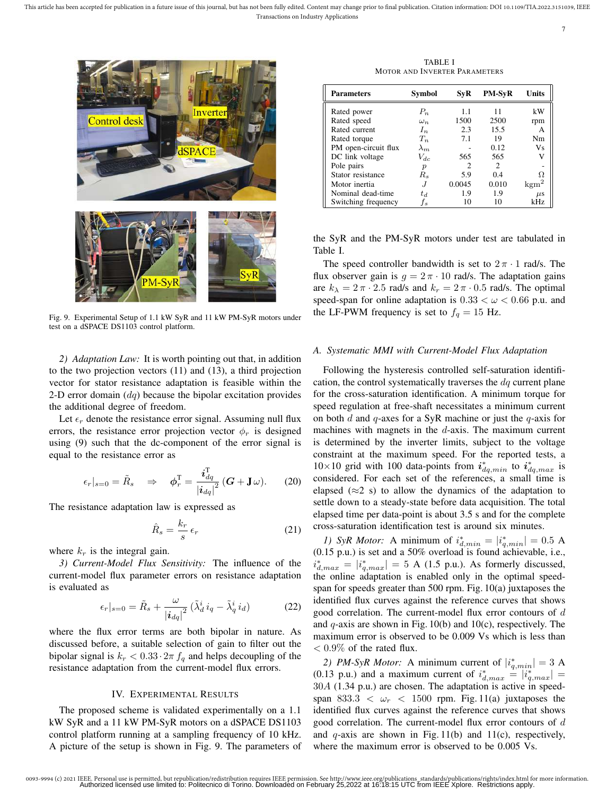7



Fig. 9. Experimental Setup of 1.1 kW SyR and 11 kW PM-SyR motors under test on a dSPACE DS1103 control platform.

*2) Adaptation Law:* It is worth pointing out that, in addition to the two projection vectors (11) and (13), a third projection vector for stator resistance adaptation is feasible within the 2-D error domain  $(dq)$  because the bipolar excitation provides the additional degree of freedom.

Let  $\epsilon_r$  denote the resistance error signal. Assuming null flux errors, the resistance error projection vector  $\phi_r$  is designed using (9) such that the dc-component of the error signal is equal to the resistance error as

$$
\epsilon_r|_{s=0} = \tilde{R}_s \quad \Rightarrow \quad \phi_r^{\mathrm{T}} = \frac{i_{dq}^{\mathrm{T}}}{|i_{dq}|^2} \left( G + \mathbf{J} \, \omega \right). \tag{20}
$$

The resistance adaptation law is expressed as

$$
\hat{R}_s = \frac{k_r}{s} \epsilon_r \tag{21}
$$

where  $k_r$  is the integral gain.

*3) Current-Model Flux Sensitivity:* The influence of the current-model flux parameter errors on resistance adaptation is evaluated as

$$
\epsilon_r|_{s=0} = \tilde{R}_s + \frac{\omega}{|\boldsymbol{i}_{dq}|^2} \left(\tilde{\lambda}_d^i \, i_q - \tilde{\lambda}_q^i \, i_d\right) \tag{22}
$$

where the flux error terms are both bipolar in nature. As discussed before, a suitable selection of gain to filter out the bipolar signal is  $k_r < 0.33 \cdot 2\pi f_q$  and helps decoupling of the resistance adaptation from the current-model flux errors.

## IV. EXPERIMENTAL RESULTS

The proposed scheme is validated experimentally on a 1.1 kW SyR and a 11 kW PM-SyR motors on a dSPACE DS1103 control platform running at a sampling frequency of 10 kHz. A picture of the setup is shown in Fig. 9. The parameters of

TABLE I MOTOR AND INVERTER PARAMETERS

| <b>Parameters</b>    | Symbol           | SvR    | <b>PM-SyR</b> | <b>Units</b>     |
|----------------------|------------------|--------|---------------|------------------|
| Rated power          | $P_n$            | 1.1    | 11            | kW               |
| Rated speed          | $\omega_n$       | 1500   | 2500          | rpm              |
| Rated current        | $I_n$            | 2.3    | 15.5          | А                |
| Rated torque         | $T_n$            | 7.1    | 19            | Nm               |
| PM open-circuit flux | $\lambda_m$      |        | 0.12          | Vs               |
| DC link voltage      | $V_{dc}$         | 565    | 565           | v                |
| Pole pairs           | $\boldsymbol{p}$ | 2      | 2             |                  |
| Stator resistance    | $R_s$            | 5.9    | 0.4           | Ω                |
| Motor inertia        |                  | 0.0045 | 0.010         | $\mathrm{kgm}^2$ |
| Nominal dead-time    | $t_d$            | 1.9    | 1.9           | $\mu$ s          |
| Switching frequency  | f,               | 10     | 10            | kHz              |

the SyR and the PM-SyR motors under test are tabulated in Table I.

The speed controller bandwidth is set to  $2\pi \cdot 1$  rad/s. The flux observer gain is  $g = 2\pi \cdot 10$  rad/s. The adaptation gains are  $k_{\lambda} = 2 \pi \cdot 2.5$  rad/s and  $k_{r} = 2 \pi \cdot 0.5$  rad/s. The optimal speed-span for online adaptation is  $0.33 < \omega < 0.66$  p.u. and the LF-PWM frequency is set to  $f_q = 15$  Hz.

# *A. Systematic MMI with Current-Model Flux Adaptation*

Following the hysteresis controlled self-saturation identification, the control systematically traverses the  $dq$  current plane for the cross-saturation identification. A minimum torque for speed regulation at free-shaft necessitates a minimum current on both  $d$  and  $q$ -axes for a SyR machine or just the  $q$ -axis for machines with magnets in the  $d$ -axis. The maximum current is determined by the inverter limits, subject to the voltage constraint at the maximum speed. For the reported tests, a  $10\times10$  grid with 100 data-points from  $\vec{i}_{dq,min}^*$  to  $\vec{i}_{dq,max}^*$  is considered. For each set of the references, a small time is elapsed ( $\approx$ 2 s) to allow the dynamics of the adaptation to settle down to a steady-state before data acquisition. The total elapsed time per data-point is about 3.5 s and for the complete cross-saturation identification test is around six minutes.

*1)* SyR Motor: A minimum of  $i_{d,min}^* = |i_{q,min}^*| = 0.5$  A (0.15 p.u.) is set and a 50% overload is found achievable, i.e.,  $i_{d,max}^* = |i_{q,max}^*| = 5$  A (1.5 p.u.). As formerly discussed, the online adaptation is enabled only in the optimal speedspan for speeds greater than 500 rpm. Fig. 10(a) juxtaposes the identified flux curves against the reference curves that shows good correlation. The current-model flux error contours of d and  $q$ -axis are shown in Fig. 10(b) and 10(c), respectively. The maximum error is observed to be 0.009 Vs which is less than  $< 0.9\%$  of the rated flux.

2) *PM-SyR Motor*: A minimum current of  $|i_{q,min}^*| = 3$  A (0.13 p.u.) and a maximum current of  $i_{d,max}^* = |i_{q,max}^*|$ 30A (1.34 p.u.) are chosen. The adaptation is active in speedspan 833.3  $\lt \omega_r \lt 1500$  rpm. Fig. 11(a) juxtaposes the identified flux curves against the reference curves that shows good correlation. The current-model flux error contours of d and  $q$ -axis are shown in Fig. 11(b) and 11(c), respectively, where the maximum error is observed to be 0.005 Vs.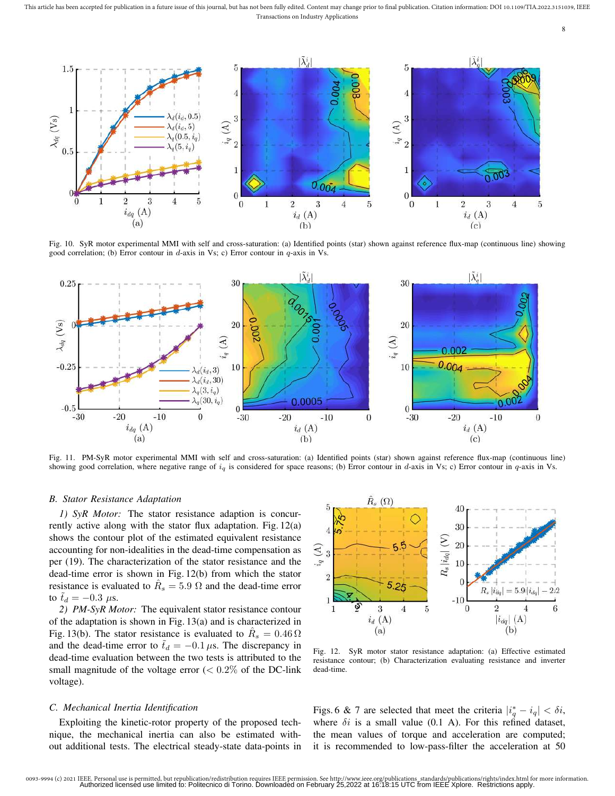This article has been accepted for publication in a future issue of this journal, but has not been fully edited. Content may change prior to final publication. Citation information: DOI 10.1109/TIA.2022.3151039, IEEE Transactions on Industry Applications



Fig. 10. SyR motor experimental MMI with self and cross-saturation: (a) Identified points (star) shown against reference flux-map (continuous line) showing good correlation; (b) Error contour in d-axis in Vs; c) Error contour in  $q$ -axis in Vs.

 $i_d(A)$ <br>(b)



Fig. 11. PM-SyR motor experimental MMI with self and cross-saturation: (a) Identified points (star) shown against reference flux-map (continuous line) showing good correlation, where negative range of  $i_q$  is considered for space reasons; (b) Error contour in d-axis in Vs; c) Error contour in q-axis in Vs.

# *B. Stator Resistance Adaptation*

 $i_{dq}(\text{A})$ 

 $(a)$ 

*1) SyR Motor:* The stator resistance adaption is concurrently active along with the stator flux adaptation. Fig. 12(a) shows the contour plot of the estimated equivalent resistance accounting for non-idealities in the dead-time compensation as per (19). The characterization of the stator resistance and the dead-time error is shown in Fig. 12(b) from which the stator resistance is evaluated to  $\hat{R}_s = 5.9 \Omega$  and the dead-time error to  $t_d = -0.3 \mu s$ .

*2) PM-SyR Motor:* The equivalent stator resistance contour of the adaptation is shown in Fig. 13(a) and is characterized in Fig. 13(b). The stator resistance is evaluated to  $\hat{R}_s = 0.46 \,\Omega$ and the dead-time error to  $\tilde{t}_d = -0.1 \,\mu s$ . The discrepancy in dead-time evaluation between the two tests is attributed to the small magnitude of the voltage error  $(< 0.2\%$  of the DC-link voltage).

# *C. Mechanical Inertia Identification*

Exploiting the kinetic-rotor property of the proposed technique, the mechanical inertia can also be estimated without additional tests. The electrical steady-state data-points in



 $i_d(A)$ 

 $(c)$ 

8

Fig. 12. SyR motor stator resistance adaptation: (a) Effective estimated resistance contour; (b) Characterization evaluating resistance and inverter dead-time.

Figs. 6 & 7 are selected that meet the criteria  $|i_q^* - i_q| < \delta i$ , where  $\delta i$  is a small value (0.1 A). For this refined dataset, the mean values of torque and acceleration are computed; it is recommended to low-pass-filter the acceleration at 50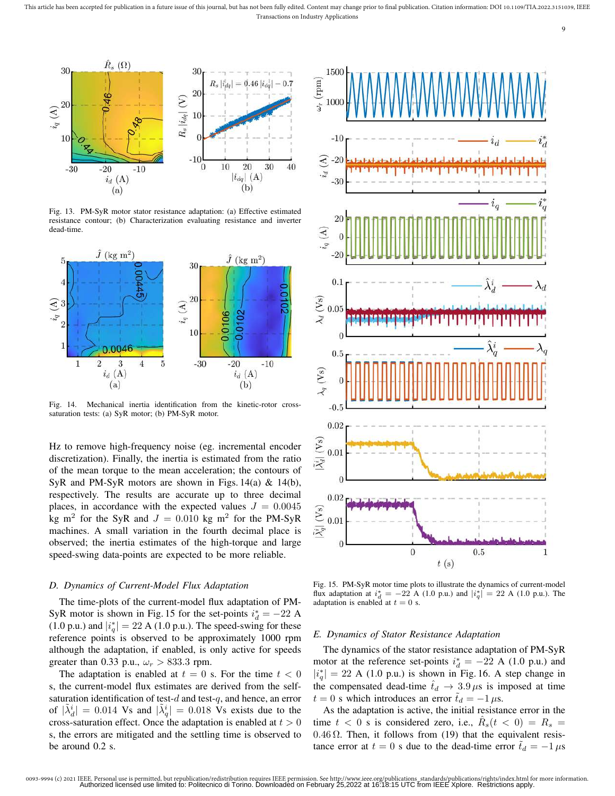

Fig. 13. PM-SyR motor stator resistance adaptation: (a) Effective estimated resistance contour; (b) Characterization evaluating resistance and inverter dead-time.



Fig. 14. Mechanical inertia identification from the kinetic-rotor crosssaturation tests: (a) SyR motor; (b) PM-SyR motor.

Hz to remove high-frequency noise (eg. incremental encoder discretization). Finally, the inertia is estimated from the ratio of the mean torque to the mean acceleration; the contours of SyR and PM-SyR motors are shown in Figs.  $14(a)$  &  $14(b)$ , respectively. The results are accurate up to three decimal places, in accordance with the expected values  $J = 0.0045$ kg m<sup>2</sup> for the SyR and  $J = 0.010$  kg m<sup>2</sup> for the PM-SyR machines. A small variation in the fourth decimal place is observed; the inertia estimates of the high-torque and large speed-swing data-points are expected to be more reliable.

#### *D. Dynamics of Current-Model Flux Adaptation*

The time-plots of the current-model flux adaptation of PM-SyR motor is shown in Fig. 15 for the set-points  $i_d^* = -22$  A (1.0 p.u.) and  $|i_q^*|=22$  A (1.0 p.u.). The speed-swing for these reference points is observed to be approximately 1000 rpm although the adaptation, if enabled, is only active for speeds greater than 0.33 p.u.,  $\omega_r > 833.3$  rpm.

The adaptation is enabled at  $t = 0$  s. For the time  $t < 0$ s, the current-model flux estimates are derived from the selfsaturation identification of test- $d$  and test- $q$ , and hence, an error of  $|\tilde{\lambda}_d^i| = 0.014$  Vs and  $|\tilde{\lambda}_q^i| = 0.018$  Vs exists due to the cross-saturation effect. Once the adaptation is enabled at  $t > 0$ s, the errors are mitigated and the settling time is observed to be around 0.2 s.



9

Fig. 15. PM-SyR motor time plots to illustrate the dynamics of current-model flux adaptation at  $i_d^* = -22$  A (1.0 p.u.) and  $|i_q^*| = 22$  A (1.0 p.u.). The adaptation is enabled at  $t = 0$  s.

# *E. Dynamics of Stator Resistance Adaptation*

The dynamics of the stator resistance adaptation of PM-SyR motor at the reference set-points  $i_d^* = -22$  A (1.0 p.u.) and  $|i_q^*|=22$  A (1.0 p.u.) is shown in Fig. 16. A step change in the compensated dead-time  $t_d \rightarrow 3.9 \,\mu s$  is imposed at time  $t = 0$  s which introduces an error  $\tilde{t}_d = -1 \,\mu s$ .

As the adaptation is active, the initial resistance error in the time  $t < 0$  s is considered zero, i.e.,  $\hat{R}_s(t < 0) = R_s$ 0.46  $\Omega$ . Then, it follows from (19) that the equivalent resistance error at  $t = 0$  s due to the dead-time error  $\tilde{t}_d = -1 \mu s$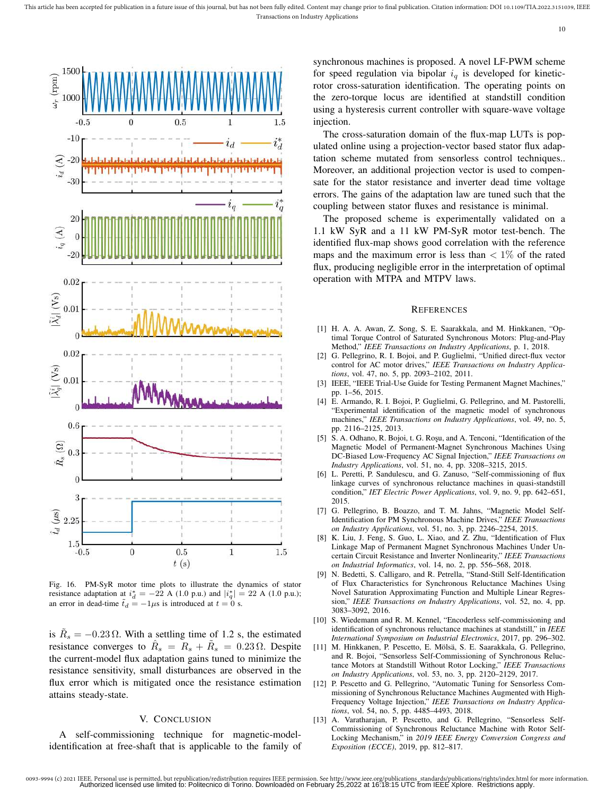

Fig. 16. PM-SyR motor time plots to illustrate the dynamics of stator resistance adaptation at  $i_d^* = -22$  A (1.0 p.u.) and  $|i_q^*| = 22$  A (1.0 p.u.); an error in dead-time  $\tilde{t}_d = -1\mu s$  is introduced at  $t = 0$  s.

is  $\tilde{R}_s = -0.23 \Omega$ . With a settling time of 1.2 s, the estimated resistance converges to  $\hat{R}_s = R_s + \tilde{R}_s = 0.23 \Omega$ . Despite the current-model flux adaptation gains tuned to minimize the resistance sensitivity, small disturbances are observed in the flux error which is mitigated once the resistance estimation attains steady-state.

# V. CONCLUSION

A self-commissioning technique for magnetic-modelidentification at free-shaft that is applicable to the family of synchronous machines is proposed. A novel LF-PWM scheme for speed regulation via bipolar  $i_q$  is developed for kineticrotor cross-saturation identification. The operating points on the zero-torque locus are identified at standstill condition using a hysteresis current controller with square-wave voltage injection.

The cross-saturation domain of the flux-map LUTs is populated online using a projection-vector based stator flux adaptation scheme mutated from sensorless control techniques.. Moreover, an additional projection vector is used to compensate for the stator resistance and inverter dead time voltage errors. The gains of the adaptation law are tuned such that the coupling between stator fluxes and resistance is minimal.

The proposed scheme is experimentally validated on a 1.1 kW SyR and a 11 kW PM-SyR motor test-bench. The identified flux-map shows good correlation with the reference maps and the maximum error is less than  $\langle 1 \rangle$  of the rated flux, producing negligible error in the interpretation of optimal operation with MTPA and MTPV laws.

#### **REFERENCES**

- [1] H. A. A. Awan, Z. Song, S. E. Saarakkala, and M. Hinkkanen, "Optimal Torque Control of Saturated Synchronous Motors: Plug-and-Play Method," *IEEE Transactions on Industry Applications*, p. 1, 2018.
- [2] G. Pellegrino, R. I. Bojoi, and P. Guglielmi, "Unified direct-flux vector control for AC motor drives," *IEEE Transactions on Industry Applications*, vol. 47, no. 5, pp. 2093–2102, 2011.
- [3] IEEE, "IEEE Trial-Use Guide for Testing Permanent Magnet Machines," pp. 1–56, 2015.
- [4] E. Armando, R. I. Bojoi, P. Guglielmi, G. Pellegrino, and M. Pastorelli, "Experimental identification of the magnetic model of synchronous machines," *IEEE Transactions on Industry Applications*, vol. 49, no. 5, pp. 2116–2125, 2013.
- [5] S. A. Odhano, R. Bojoi, t. G. Roşu, and A. Tenconi, "Identification of the Magnetic Model of Permanent-Magnet Synchronous Machines Using DC-Biased Low-Frequency AC Signal Injection," *IEEE Transactions on Industry Applications*, vol. 51, no. 4, pp. 3208–3215, 2015.
- [6] L. Peretti, P. Sandulescu, and G. Zanuso, "Self-commissioning of flux linkage curves of synchronous reluctance machines in quasi-standstill condition," *IET Electric Power Applications*, vol. 9, no. 9, pp. 642–651, 2015.
- [7] G. Pellegrino, B. Boazzo, and T. M. Jahns, "Magnetic Model Self-Identification for PM Synchronous Machine Drives," *IEEE Transactions on Industry Applications*, vol. 51, no. 3, pp. 2246–2254, 2015.
- [8] K. Liu, J. Feng, S. Guo, L. Xiao, and Z. Zhu, "Identification of Flux Linkage Map of Permanent Magnet Synchronous Machines Under Uncertain Circuit Resistance and Inverter Nonlinearity," *IEEE Transactions on Industrial Informatics*, vol. 14, no. 2, pp. 556–568, 2018.
- [9] N. Bedetti, S. Calligaro, and R. Petrella, "Stand-Still Self-Identification of Flux Characteristics for Synchronous Reluctance Machines Using Novel Saturation Approximating Function and Multiple Linear Regression," *IEEE Transactions on Industry Applications*, vol. 52, no. 4, pp. 3083–3092, 2016.
- [10] S. Wiedemann and R. M. Kennel, "Encoderless self-commissioning and identification of synchronous reluctance machines at standstill," in *IEEE International Symposium on Industrial Electronics*, 2017, pp. 296–302.
- [11] M. Hinkkanen, P. Pescetto, E. Mölsä, S. E. Saarakkala, G. Pellegrino, and R. Bojoi, "Sensorless Self-Commissioning of Synchronous Reluctance Motors at Standstill Without Rotor Locking," *IEEE Transactions on Industry Applications*, vol. 53, no. 3, pp. 2120–2129, 2017.
- [12] P. Pescetto and G. Pellegrino, "Automatic Tuning for Sensorless Commissioning of Synchronous Reluctance Machines Augmented with High-Frequency Voltage Injection," *IEEE Transactions on Industry Applications*, vol. 54, no. 5, pp. 4485–4493, 2018.
- [13] A. Varatharajan, P. Pescetto, and G. Pellegrino, "Sensorless Self-Commissioning of Synchronous Reluctance Machine with Rotor Self-Locking Mechanism," in *2019 IEEE Energy Conversion Congress and Exposition (ECCE)*, 2019, pp. 812–817.